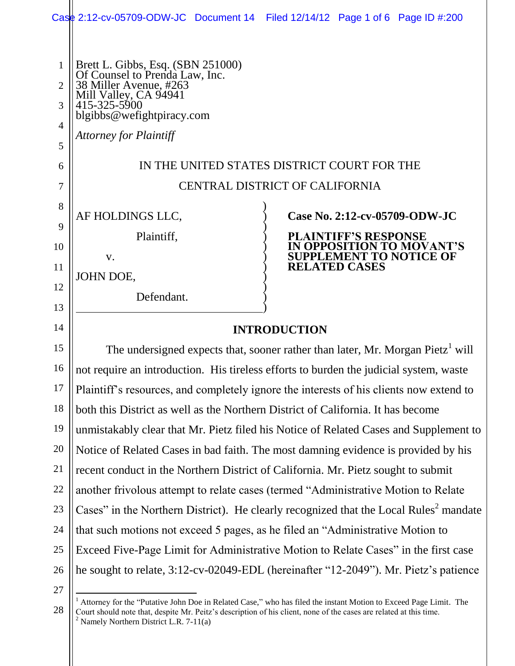|                                                 |                                                                                                                                                                                                      | Case 2:12-cv-05709-ODW-JC Document 14 Filed 12/14/12 Page 1 of 6 Page ID #:200 |
|-------------------------------------------------|------------------------------------------------------------------------------------------------------------------------------------------------------------------------------------------------------|--------------------------------------------------------------------------------|
| 1<br>$\overline{2}$<br>3<br>$\overline{4}$<br>5 | Brett L. Gibbs, Esq. (SBN 251000)<br>Of Counsel to Prenda Law, Inc.<br>38 Miller Avenue, #263<br>Mill Valley, CA 94941<br>415-325-5900<br>blgibbs@wefightpiracy.com<br><b>Attorney for Plaintiff</b> |                                                                                |
| 6                                               | IN THE UNITED STATES DISTRICT COURT FOR THE                                                                                                                                                          |                                                                                |
| 7                                               | CENTRAL DISTRICT OF CALIFORNIA                                                                                                                                                                       |                                                                                |
| 8                                               |                                                                                                                                                                                                      |                                                                                |
| 9                                               | AF HOLDINGS LLC,                                                                                                                                                                                     | Case No. 2:12-cv-05709-ODW-JC                                                  |
| 10                                              | Plaintiff,                                                                                                                                                                                           | PLAINTIFF'S RESPONSE<br><b>N OPPOSITION TO MOVANT'S</b>                        |
| 11                                              | V.                                                                                                                                                                                                   | SUPPLEMENT TO NOTICE OF<br><b>RELATED CASES</b>                                |
| 12                                              | JOHN DOE,                                                                                                                                                                                            |                                                                                |
| 13                                              | Defendant.                                                                                                                                                                                           |                                                                                |
| 14                                              | <b>INTRODUCTION</b>                                                                                                                                                                                  |                                                                                |
| 15                                              | The undersigned expects that, sooner rather than later, Mr. Morgan Pietz <sup>1</sup> will                                                                                                           |                                                                                |
| 16                                              | not require an introduction. His tireless efforts to burden the judicial system, waste                                                                                                               |                                                                                |
| 17                                              | Plaintiff's resources, and completely ignore the interests of his clients now extend to                                                                                                              |                                                                                |
| 18                                              | both this District as well as the Northern District of California. It has become                                                                                                                     |                                                                                |
| 19                                              | unmistakably clear that Mr. Pietz filed his Notice of Related Cases and Supplement to                                                                                                                |                                                                                |
| 20                                              | Notice of Related Cases in bad faith. The most damning evidence is provided by his                                                                                                                   |                                                                                |
| 21                                              | recent conduct in the Northern District of California. Mr. Pietz sought to submit                                                                                                                    |                                                                                |
| 22                                              | another frivolous attempt to relate cases (termed "Administrative Motion to Relate                                                                                                                   |                                                                                |
| 23                                              | Cases" in the Northern District). He clearly recognized that the Local Rules <sup>2</sup> mandate                                                                                                    |                                                                                |
| 24                                              | that such motions not exceed 5 pages, as he filed an "Administrative Motion to                                                                                                                       |                                                                                |
| 25                                              | Exceed Five-Page Limit for Administrative Motion to Relate Cases" in the first case                                                                                                                  |                                                                                |
| 26                                              | he sought to relate, 3:12-cv-02049-EDL (hereinafter "12-2049"). Mr. Pietz's patience                                                                                                                 |                                                                                |

27

 $\overline{a}$ 

28

<sup>&</sup>lt;sup>1</sup> Attorney for the "Putative John Doe in Related Case," who has filed the instant Motion to Exceed Page Limit. The Court should note that, despite Mr. Peitz's description of his client, none of the cases are related at this time.  $2$  Namely Northern District L.R. 7-11(a)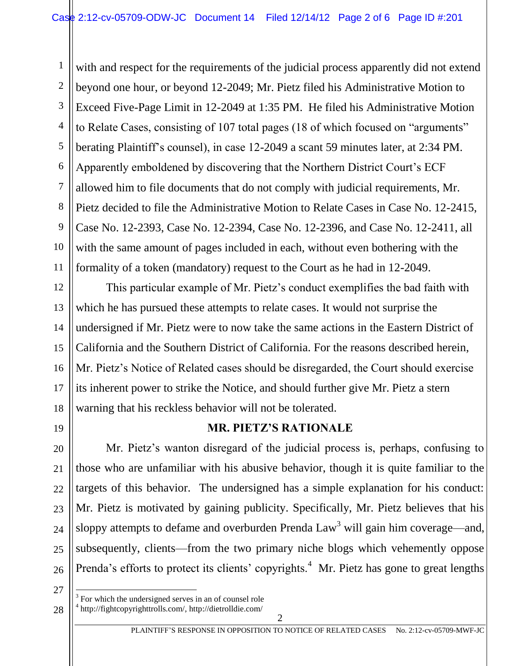1 2 3 4 5 6 7 8 9 10 11 with and respect for the requirements of the judicial process apparently did not extend beyond one hour, or beyond 12-2049; Mr. Pietz filed his Administrative Motion to Exceed Five-Page Limit in 12-2049 at 1:35 PM. He filed his Administrative Motion to Relate Cases, consisting of 107 total pages (18 of which focused on "arguments" berating Plaintiff's counsel), in case 12-2049 a scant 59 minutes later, at 2:34 PM. Apparently emboldened by discovering that the Northern District Court's ECF allowed him to file documents that do not comply with judicial requirements, Mr. Pietz decided to file the Administrative Motion to Relate Cases in Case No. 12-2415, Case No. 12-2393, Case No. 12-2394, Case No. 12-2396, and Case No. 12-2411, all with the same amount of pages included in each, without even bothering with the formality of a token (mandatory) request to the Court as he had in 12-2049.

12 13 14 15 16 18 This particular example of Mr. Pietz's conduct exemplifies the bad faith with which he has pursued these attempts to relate cases. It would not surprise the undersigned if Mr. Pietz were to now take the same actions in the Eastern District of California and the Southern District of California. For the reasons described herein, Mr. Pietz's Notice of Related cases should be disregarded, the Court should exercise its inherent power to strike the Notice, and should further give Mr. Pietz a stern warning that his reckless behavior will not be tolerated.

19

20

21

22

23

24

25

26

17

## **MR. PIETZ'S RATIONALE**

Mr. Pietz's wanton disregard of the judicial process is, perhaps, confusing to those who are unfamiliar with his abusive behavior, though it is quite familiar to the targets of this behavior. The undersigned has a simple explanation for his conduct: Mr. Pietz is motivated by gaining publicity. Specifically, Mr. Pietz believes that his sloppy attempts to defame and overburden Prenda  $Law<sup>3</sup>$  will gain him coverage—and, subsequently, clients—from the two primary niche blogs which vehemently oppose Prenda's efforts to protect its clients' copyrights.<sup>4</sup> Mr. Pietz has gone to great lengths

27

 $\overline{a}$ 

28

<sup>3</sup> For which the undersigned serves in an of counsel role

<sup>4</sup> http://fightcopyrighttrolls.com/, http://dietrolldie.com/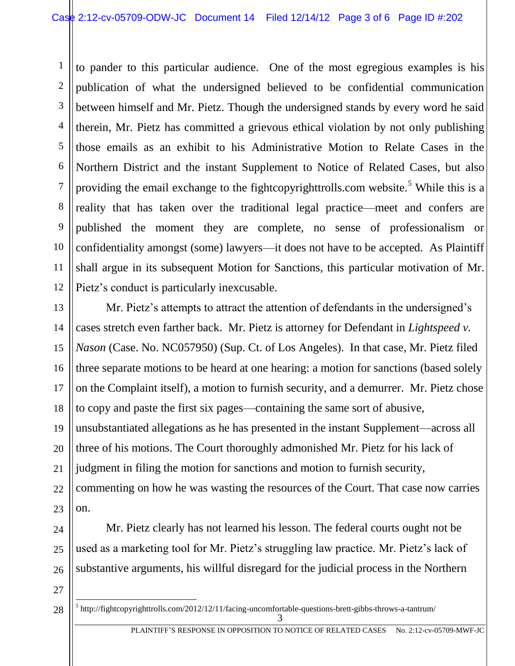4 5 6 8 10 12 to pander to this particular audience. One of the most egregious examples is his publication of what the undersigned believed to be confidential communication between himself and Mr. Pietz. Though the undersigned stands by every word he said therein, Mr. Pietz has committed a grievous ethical violation by not only publishing those emails as an exhibit to his Administrative Motion to Relate Cases in the Northern District and the instant Supplement to Notice of Related Cases, but also providing the email exchange to the fightcopyrighttrolls.com website.<sup>5</sup> While this is a reality that has taken over the traditional legal practice—meet and confers are published the moment they are complete, no sense of professionalism or confidentiality amongst (some) lawyers—it does not have to be accepted. As Plaintiff shall argue in its subsequent Motion for Sanctions, this particular motivation of Mr. Pietz's conduct is particularly inexcusable.

13 14 15 16 17 18 19 20 21 22 23 Mr. Pietz's attempts to attract the attention of defendants in the undersigned's cases stretch even farther back. Mr. Pietz is attorney for Defendant in *Lightspeed v. Nason* (Case. No. NC057950) (Sup. Ct. of Los Angeles). In that case, Mr. Pietz filed three separate motions to be heard at one hearing: a motion for sanctions (based solely on the Complaint itself), a motion to furnish security, and a demurrer. Mr. Pietz chose to copy and paste the first six pages—containing the same sort of abusive, unsubstantiated allegations as he has presented in the instant Supplement—across all three of his motions. The Court thoroughly admonished Mr. Pietz for his lack of judgment in filing the motion for sanctions and motion to furnish security, commenting on how he was wasting the resources of the Court. That case now carries on.

Mr. Pietz clearly has not learned his lesson. The federal courts ought not be used as a marketing tool for Mr. Pietz's struggling law practice. Mr. Pietz's lack of substantive arguments, his willful disregard for the judicial process in the Northern

27

 $\overline{a}$ 

24

25

26

1

2

3

7

9

11

3  $<sup>5</sup>$ http://fightcopyrighttrolls.com/2012/12/11/facing-uncomfortable-questions-brett-gibbs-throws-a-tantrum/</sup>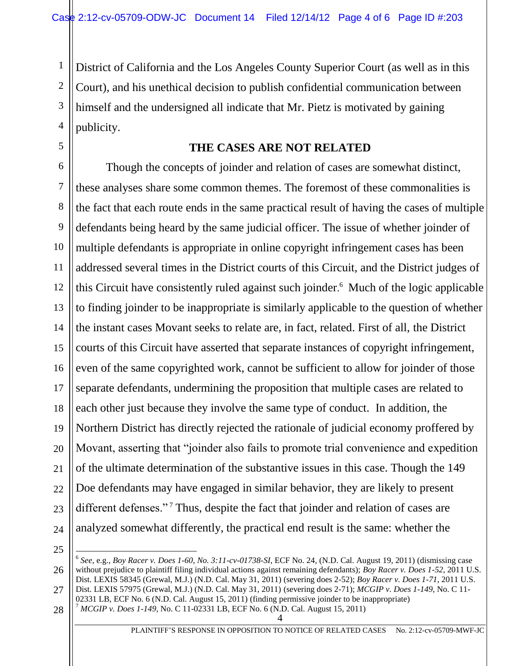District of California and the Los Angeles County Superior Court (as well as in this Court), and his unethical decision to publish confidential communication between himself and the undersigned all indicate that Mr. Pietz is motivated by gaining publicity.

## **THE CASES ARE NOT RELATED**

6 7 8 9 10 11 12 13 14 15 16 17 18 19 20 21 22 23 24 Though the concepts of joinder and relation of cases are somewhat distinct, these analyses share some common themes. The foremost of these commonalities is the fact that each route ends in the same practical result of having the cases of multiple defendants being heard by the same judicial officer. The issue of whether joinder of multiple defendants is appropriate in online copyright infringement cases has been addressed several times in the District courts of this Circuit, and the District judges of this Circuit have consistently ruled against such joinder. <sup>6</sup> Much of the logic applicable to finding joinder to be inappropriate is similarly applicable to the question of whether the instant cases Movant seeks to relate are, in fact, related. First of all, the District courts of this Circuit have asserted that separate instances of copyright infringement, even of the same copyrighted work, cannot be sufficient to allow for joinder of those separate defendants, undermining the proposition that multiple cases are related to each other just because they involve the same type of conduct. In addition, the Northern District has directly rejected the rationale of judicial economy proffered by Movant, asserting that "joinder also fails to promote trial convenience and expedition of the ultimate determination of the substantive issues in this case. Though the 149 Doe defendants may have engaged in similar behavior, they are likely to present different defenses."<sup>7</sup> Thus, despite the fact that joinder and relation of cases are analyzed somewhat differently, the practical end result is the same: whether the

25

 $\overline{a}$ 

1

2

3

4

5

4

28 02331 LB, ECF No. 6 (N.D. Cal. August 15, 2011) (finding permissive joinder to be inappropriate) <sup>7</sup> *MCGIP v. Does 1-149*, No. C 11-02331 LB, ECF No. 6 (N.D. Cal. August 15, 2011)

<sup>26</sup> 27 6 *See*, e.g., *Boy Racer v. Does 1-60, No. 3:11-cv-01738-SI*, ECF No. 24, (N.D. Cal. August 19, 2011) (dismissing case without prejudice to plaintiff filing individual actions against remaining defendants); *Boy Racer v. Does 1-52*, 2011 U.S. Dist. LEXIS 58345 (Grewal, M.J.) (N.D. Cal. May 31, 2011) (severing does 2-52); *Boy Racer v. Does 1-71*, 2011 U.S. Dist. LEXIS 57975 (Grewal, M.J.) (N.D. Cal. May 31, 2011) (severing does 2-71); *MCGIP v. Does 1-149*, No. C 11-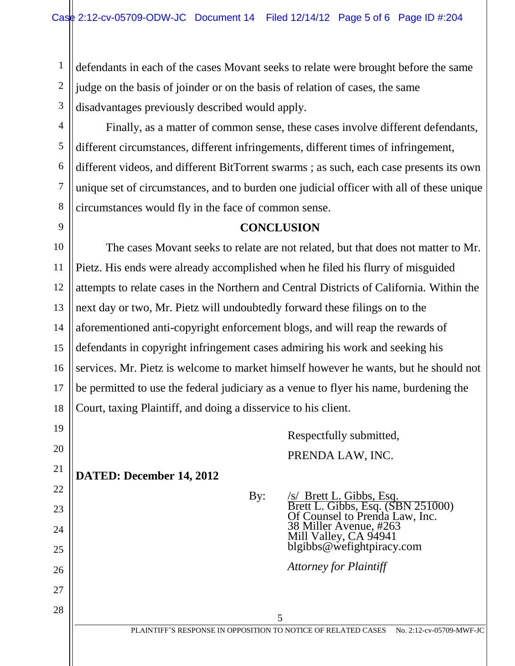defendants in each of the cases Movant seeks to relate were brought before the same judge on the basis of joinder or on the basis of relation of cases, the same disadvantages previously described would apply.

28

1

2

Finally, as a matter of common sense, these cases involve different defendants, different circumstances, different infringements, different times of infringement, different videos, and different BitTorrent swarms ; as such, each case presents its own unique set of circumstances, and to burden one judicial officer with all of these unique circumstances would fly in the face of common sense.

## **CONCLUSION**

The cases Movant seeks to relate are not related, but that does not matter to Mr. Pietz. His ends were already accomplished when he filed his flurry of misguided attempts to relate cases in the Northern and Central Districts of California. Within the next day or two, Mr. Pietz will undoubtedly forward these filings on to the aforementioned anti-copyright enforcement blogs, and will reap the rewards of defendants in copyright infringement cases admiring his work and seeking his services. Mr. Pietz is welcome to market himself however he wants, but he should not be permitted to use the federal judiciary as a venue to flyer his name, burdening the Court, taxing Plaintiff, and doing a disservice to his client.

> Respectfully submitted, PRENDA LAW, INC.

**DATED: December 14, 2012**

By: /s/ Brett L. Gibbs, Esq. Brett L. Gibbs, Esq. (SBN 251000) Of Counsel to Prenda Law, Inc. 38 Miller Avenue, #263 Mill Valley, CA 94941 blgibbs@wefightpiracy.com

*Attorney for Plaintiff*